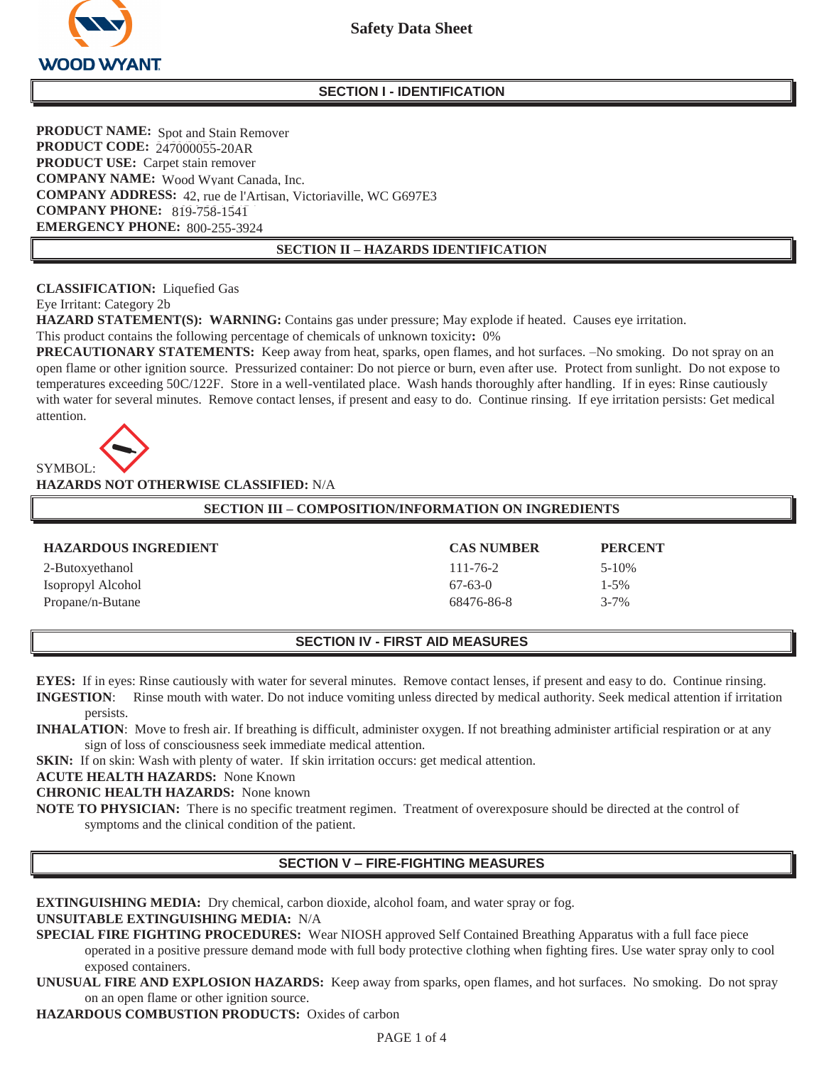

#### **SECTION I - IDENTIFICATION**

**PRODUCT NAME:** Spot and Stain Remover **PRODUCT CODE:** 247000055-20AR **PRODUCT USE:** Carpet stain remover **COMPANY NAME:** Wood Wyant Canada, Inc. COMPANY ADDRESS: 42, rue de l'Artisan, Victoriaville, WC G697E3 **COMPANY PHONE:** 819-758-1541 **EMERGENCY PHONE: 800-255-3924**  800-255-3924

#### **SECTION II – HAZARDS IDENTIFICATION**

**CLASSIFICATION:** Liquefied Gas

Eye Irritant: Category 2b

**HAZARD STATEMENT(S): WARNING:** Contains gas under pressure; May explode if heated. Causes eye irritation. This product contains the following percentage of chemicals of unknown toxicity**:** 0%

**PRECAUTIONARY STATEMENTS:** Keep away from heat, sparks, open flames, and hot surfaces.  $-No$  smoking. Do not spray on an open flame or other ignition source. Pressurized container: Do not pierce or burn, even after use. Protect from sunlight. Do not expose to temperatures exceeding 50C/122F. Store in a well-ventilated place. Wash hands thoroughly after handling. If in eyes: Rinse cautiously with water for several minutes. Remove contact lenses, if present and easy to do. Continue rinsing. If eye irritation persists: Get medical attention.



**HAZARDS NOT OTHERWISE CLASSIFIED:** N/A

| <b>SECTION III – COMPOSITION/INFORMATION ON INGREDIENTS</b> |                   |                |
|-------------------------------------------------------------|-------------------|----------------|
|                                                             |                   |                |
| <b>HAZARDOUS INGREDIENT</b>                                 | <b>CAS NUMBER</b> | <b>PERCENT</b> |
| 2-Butoxyethanol                                             | $111 - 76 - 2$    | $5-10\%$       |
| Isopropyl Alcohol                                           | $67-63-0$         | $1 - 5\%$      |
| Propane/n-Butane                                            | 68476-86-8        | $3 - 7\%$      |

# **SECTION IV - FIRST AID MEASURES**

**EYES:** If in eyes: Rinse cautiously with water for several minutes. Remove contact lenses, if present and easy to do. Continue rinsing. **INGESTION**: Rinse mouth with water. Do not induce vomiting unless directed by medical authority. Seek medical attention if irritation persists.

**INHALATION:** Move to fresh air. If breathing is difficult, administer oxygen. If not breathing administer artificial respiration or at any sign of loss of consciousness seek immediate medical attention.

**SKIN:** If on skin: Wash with plenty of water. If skin irritation occurs: get medical attention.

**ACUTE HEALTH HAZARDS:** None Known

**CHRONIC HEALTH HAZARDS:** None known

**NOTE TO PHYSICIAN:** There is no specific treatment regimen. Treatment of overexposure should be directed at the control of symptoms and the clinical condition of the patient.

# **SECTION V – FIRE-FIGHTING MEASURES**

**EXTINGUISHING MEDIA:** Dry chemical, carbon dioxide, alcohol foam, and water spray or fog.

# **UNSUITABLE EXTINGUISHING MEDIA:** N/A

- **SPECIAL FIRE FIGHTING PROCEDURES:** Wear NIOSH approved Self Contained Breathing Apparatus with a full face piece operated in a positive pressure demand mode with full body protective clothing when fighting fires. Use water spray only to cool exposed containers.
- **UNUSUAL FIRE AND EXPLOSION HAZARDS:** Keep away from sparks, open flames, and hot surfaces. No smoking. Do not spray on an open flame or other ignition source.

**HAZARDOUS COMBUSTION PRODUCTS:** Oxides of carbon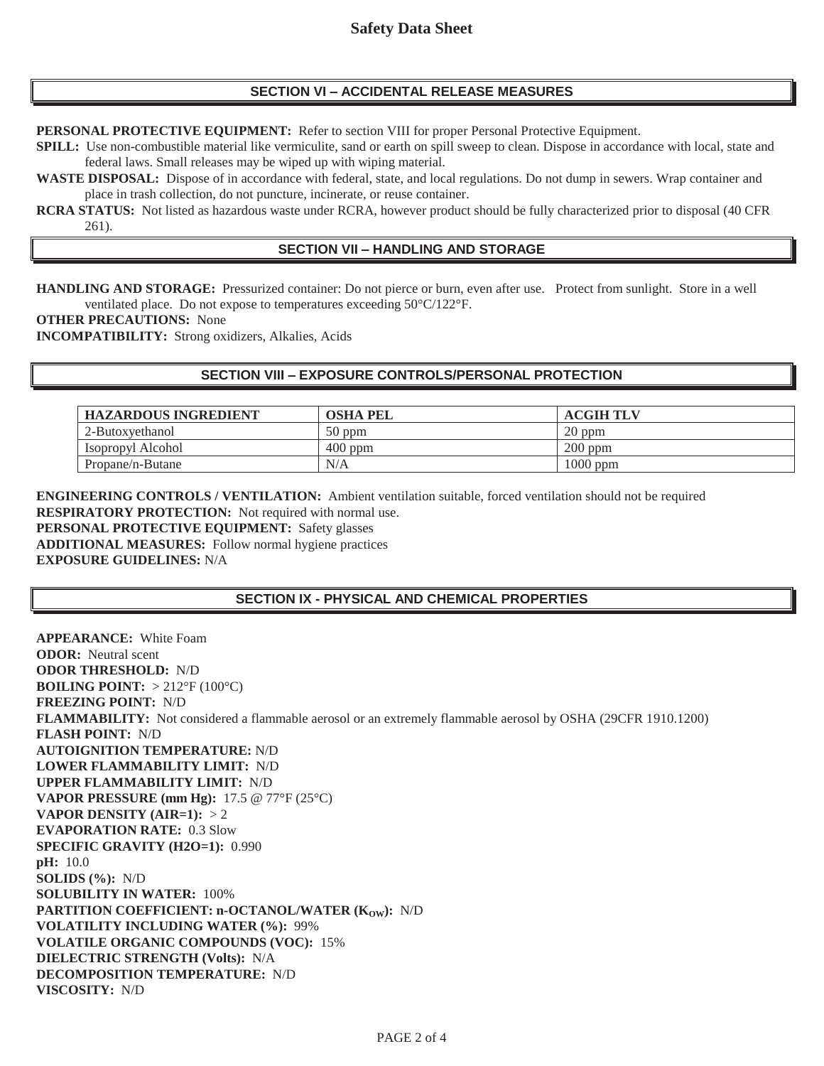# **SECTION VI – ACCIDENTAL RELEASE MEASURES**

**PERSONAL PROTECTIVE EQUIPMENT:** Refer to section VIII for proper Personal Protective Equipment.

**SPILL:** Use non-combustible material like vermiculite, sand or earth on spill sweep to clean. Dispose in accordance with local, state and federal laws. Small releases may be wiped up with wiping material.

**WASTE DISPOSAL:** Dispose of in accordance with federal, state, and local regulations. Do not dump in sewers. Wrap container and place in trash collection, do not puncture, incinerate, or reuse container.

**RCRA STATUS:** Not listed as hazardous waste under RCRA, however product should be fully characterized prior to disposal (40 CFR 261).

# **SECTION VII – HANDLING AND STORAGE**

**HANDLING AND STORAGE:** Pressurized container: Do not pierce or burn, even after use. Protect from sunlight. Store in a well ventilated place. Do not expose to temperatures exceeding 50°C/122°F.

**OTHER PRECAUTIONS:** None

**INCOMPATIBILITY:** Strong oxidizers, Alkalies, Acids

### **SECTION VIII – EXPOSURE CONTROLS/PERSONAL PROTECTION**

| <b>HAZARDOUS INGREDIENT</b> | OSHA PEL  | <b>ACGIH TLV</b> |
|-----------------------------|-----------|------------------|
| 2-Butoxyethanol             | $50$ ppm  | $20$ ppm         |
| Isopropyl Alcohol           | $400$ ppm | $200$ ppm        |
| Propane/n-Butane            | N/A       | 1000 ppm         |

**ENGINEERING CONTROLS / VENTILATION:** Ambient ventilation suitable, forced ventilation should not be required **RESPIRATORY PROTECTION:** Not required with normal use. **PERSONAL PROTECTIVE EQUIPMENT:** Safety glasses **ADDITIONAL MEASURES:** Follow normal hygiene practices **EXPOSURE GUIDELINES:** N/A

# **SECTION IX - PHYSICAL AND CHEMICAL PROPERTIES**

**APPEARANCE:** White Foam **ODOR:** Neutral scent **ODOR THRESHOLD:** N/D **BOILING POINT:** > 212°F (100°C) **FREEZING POINT:** N/D **FLAMMABILITY:** Not considered a flammable aerosol or an extremely flammable aerosol by OSHA (29CFR 1910.1200) **FLASH POINT:** N/D **AUTOIGNITION TEMPERATURE:** N/D **LOWER FLAMMABILITY LIMIT:** N/D **UPPER FLAMMABILITY LIMIT:** N/D **VAPOR PRESSURE (mm Hg):** 17.5 @ 77°F (25°C) **VAPOR DENSITY (AIR=1):** > 2 **EVAPORATION RATE:** 0.3 Slow **SPECIFIC GRAVITY (H2O=1):** 0.990 **pH:** 10.0 **SOLIDS (%):** N/D **SOLUBILITY IN WATER:** 100% **PARTITION COEFFICIENT: n-OCTANOL/WATER (KOW): N/D VOLATILITY INCLUDING WATER (%):** 99% **VOLATILE ORGANIC COMPOUNDS (VOC):** 15% **DIELECTRIC STRENGTH (Volts):** N/A **DECOMPOSITION TEMPERATURE:** N/D **VISCOSITY:** N/D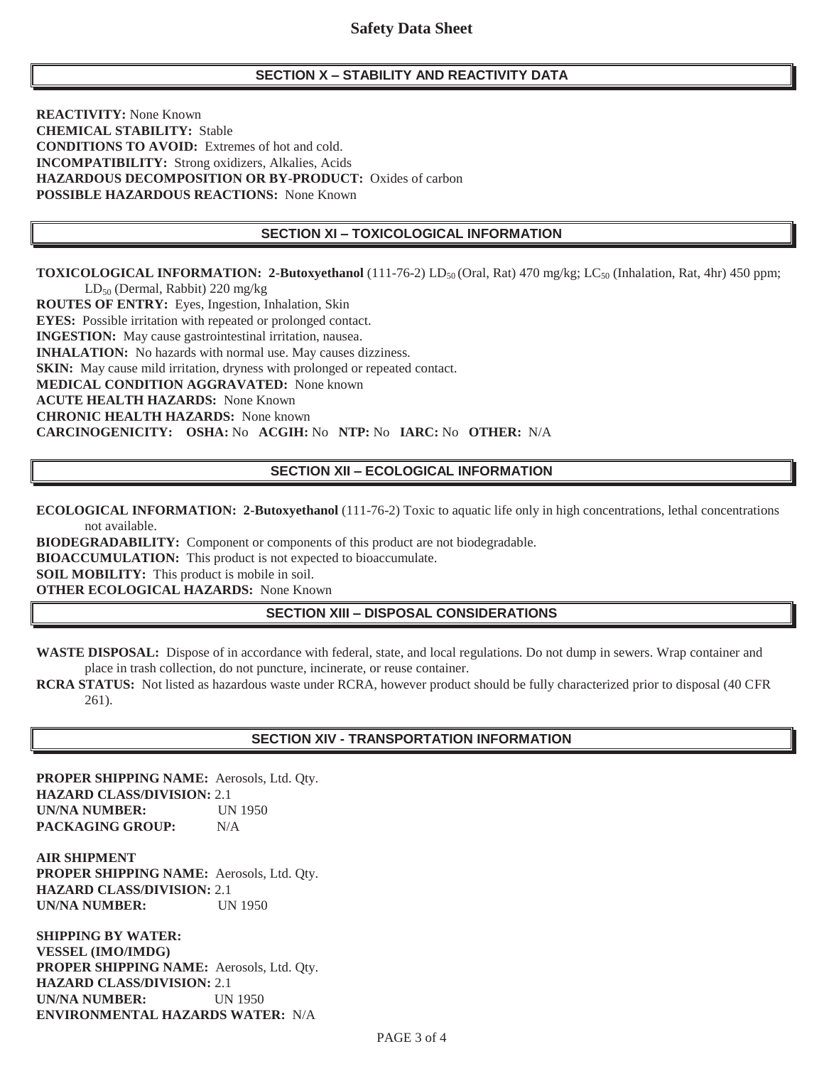# **SECTION X – STABILITY AND REACTIVITY DATA**

**REACTIVITY:** None Known **CHEMICAL STABILITY:** Stable **CONDITIONS TO AVOID:** Extremes of hot and cold. **INCOMPATIBILITY:** Strong oxidizers, Alkalies, Acids **HAZARDOUS DECOMPOSITION OR BY-PRODUCT:** Oxides of carbon **POSSIBLE HAZARDOUS REACTIONS:** None Known

### **SECTION XI – TOXICOLOGICAL INFORMATION**

**TOXICOLOGICAL INFORMATION: 2-Butoxyethanol** (111-76-2) LD<sub>50</sub> (Oral, Rat) 470 mg/kg; LC<sub>50</sub> (Inhalation, Rat, 4hr) 450 ppm; LD<sub>50</sub> (Dermal, Rabbit) 220 mg/kg

**ROUTES OF ENTRY:** Eyes, Ingestion, Inhalation, Skin **EYES:** Possible irritation with repeated or prolonged contact. **INGESTION:** May cause gastrointestinal irritation, nausea. **INHALATION:** No hazards with normal use. May causes dizziness. **SKIN:** May cause mild irritation, dryness with prolonged or repeated contact. **MEDICAL CONDITION AGGRAVATED:** None known **ACUTE HEALTH HAZARDS:** None Known **CHRONIC HEALTH HAZARDS:** None known **CARCINOGENICITY: OSHA:** No **ACGIH:** No **NTP:** No **IARC:** No **OTHER:** N/A

# **SECTION XII – ECOLOGICAL INFORMATION**

**ECOLOGICAL INFORMATION: 2-Butoxyethanol** (111-76-2) Toxic to aquatic life only in high concentrations, lethal concentrations not available.

**BIODEGRADABILITY:** Component or components of this product are not biodegradable.

**BIOACCUMULATION:** This product is not expected to bioaccumulate.

**SOIL MOBILITY:** This product is mobile in soil.

**OTHER ECOLOGICAL HAZARDS:** None Known

# **SECTION XIII – DISPOSAL CONSIDERATIONS**

**WASTE DISPOSAL:** Dispose of in accordance with federal, state, and local regulations. Do not dump in sewers. Wrap container and place in trash collection, do not puncture, incinerate, or reuse container.

**RCRA STATUS:** Not listed as hazardous waste under RCRA, however product should be fully characterized prior to disposal (40 CFR 261).

# **SECTION XIV - TRANSPORTATION INFORMATION**

**PROPER SHIPPING NAME:** Aerosols, Ltd. Qty. **HAZARD CLASS/DIVISION:** 2.1 **UN/NA NUMBER:** UN 1950 **PACKAGING GROUP:** N/A

**AIR SHIPMENT PROPER SHIPPING NAME:** Aerosols, Ltd. Qty. **HAZARD CLASS/DIVISION:** 2.1 **UN/NA NUMBER:** UN 1950

**SHIPPING BY WATER: VESSEL (IMO/IMDG) PROPER SHIPPING NAME:** Aerosols, Ltd. Qty. **HAZARD CLASS/DIVISION:** 2.1 **UN/NA NUMBER:** UN 1950 **ENVIRONMENTAL HAZARDS WATER:** N/A